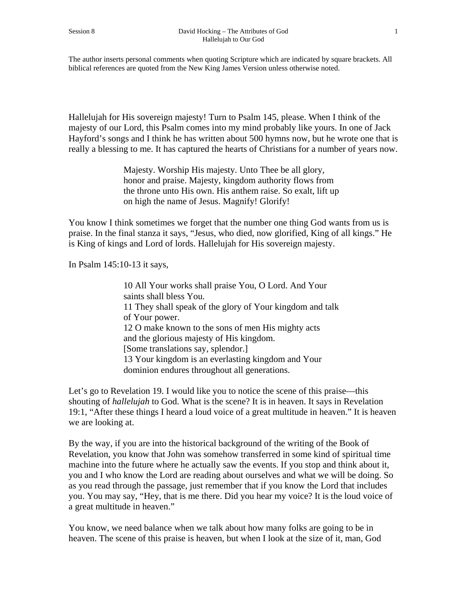The author inserts personal comments when quoting Scripture which are indicated by square brackets. All biblical references are quoted from the New King James Version unless otherwise noted.

Hallelujah for His sovereign majesty! Turn to Psalm 145, please. When I think of the majesty of our Lord, this Psalm comes into my mind probably like yours. In one of Jack Hayford's songs and I think he has written about 500 hymns now, but he wrote one that is really a blessing to me. It has captured the hearts of Christians for a number of years now.

> Majesty. Worship His majesty. Unto Thee be all glory, honor and praise. Majesty, kingdom authority flows from the throne unto His own. His anthem raise. So exalt, lift up on high the name of Jesus. Magnify! Glorify!

You know I think sometimes we forget that the number one thing God wants from us is praise. In the final stanza it says, "Jesus, who died, now glorified, King of all kings." He is King of kings and Lord of lords. Hallelujah for His sovereign majesty.

In Psalm 145:10-13 it says,

10 All Your works shall praise You, O Lord. And Your saints shall bless You. 11 They shall speak of the glory of Your kingdom and talk of Your power. 12 O make known to the sons of men His mighty acts and the glorious majesty of His kingdom. [Some translations say, splendor.] 13 Your kingdom is an everlasting kingdom and Your dominion endures throughout all generations.

Let's go to Revelation 19. I would like you to notice the scene of this praise—this shouting of *hallelujah* to God. What is the scene? It is in heaven. It says in Revelation 19:1, "After these things I heard a loud voice of a great multitude in heaven." It is heaven we are looking at.

By the way, if you are into the historical background of the writing of the Book of Revelation, you know that John was somehow transferred in some kind of spiritual time machine into the future where he actually saw the events. If you stop and think about it, you and I who know the Lord are reading about ourselves and what we will be doing. So as you read through the passage, just remember that if you know the Lord that includes you. You may say, "Hey, that is me there. Did you hear my voice? It is the loud voice of a great multitude in heaven."

You know, we need balance when we talk about how many folks are going to be in heaven. The scene of this praise is heaven, but when I look at the size of it, man, God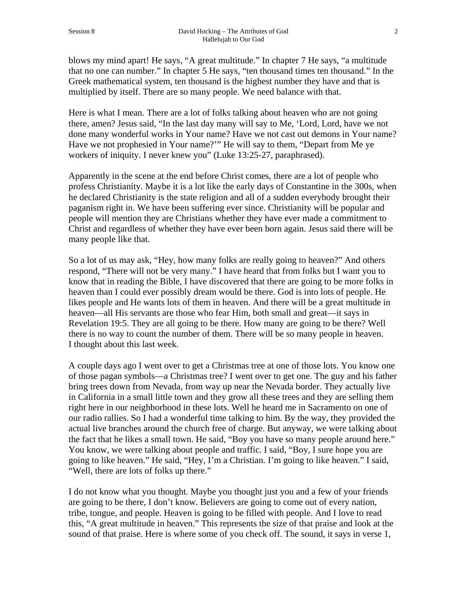blows my mind apart! He says, "A great multitude." In chapter 7 He says, "a multitude that no one can number." In chapter 5 He says, "ten thousand times ten thousand." In the Greek mathematical system, ten thousand is the highest number they have and that is multiplied by itself. There are so many people. We need balance with that.

Here is what I mean. There are a lot of folks talking about heaven who are not going there, amen? Jesus said, "In the last day many will say to Me, 'Lord, Lord, have we not done many wonderful works in Your name? Have we not cast out demons in Your name? Have we not prophesied in Your name?'" He will say to them, "Depart from Me ye workers of iniquity. I never knew you" (Luke 13:25-27, paraphrased).

Apparently in the scene at the end before Christ comes, there are a lot of people who profess Christianity. Maybe it is a lot like the early days of Constantine in the 300s, when he declared Christianity is the state religion and all of a sudden everybody brought their paganism right in. We have been suffering ever since. Christianity will be popular and people will mention they are Christians whether they have ever made a commitment to Christ and regardless of whether they have ever been born again. Jesus said there will be many people like that.

So a lot of us may ask, "Hey, how many folks are really going to heaven?" And others respond, "There will not be very many." I have heard that from folks but I want you to know that in reading the Bible, I have discovered that there are going to be more folks in heaven than I could ever possibly dream would be there. God is into lots of people. He likes people and He wants lots of them in heaven. And there will be a great multitude in heaven—all His servants are those who fear Him, both small and great—it says in Revelation 19:5. They are all going to be there. How many are going to be there? Well there is no way to count the number of them. There will be so many people in heaven. I thought about this last week.

A couple days ago I went over to get a Christmas tree at one of those lots. You know one of those pagan symbols—a Christmas tree? I went over to get one. The guy and his father bring trees down from Nevada, from way up near the Nevada border. They actually live in California in a small little town and they grow all these trees and they are selling them right here in our neighborhood in these lots. Well he heard me in Sacramento on one of our radio rallies. So I had a wonderful time talking to him. By the way, they provided the actual live branches around the church free of charge. But anyway, we were talking about the fact that he likes a small town. He said, "Boy you have so many people around here." You know, we were talking about people and traffic. I said, "Boy, I sure hope you are going to like heaven." He said, "Hey, I'm a Christian. I'm going to like heaven." I said, "Well, there are lots of folks up there."

I do not know what you thought. Maybe you thought just you and a few of your friends are going to be there, I don't know. Believers are going to come out of every nation, tribe, tongue, and people. Heaven is going to be filled with people. And I love to read this, "A great multitude in heaven." This represents the size of that praise and look at the sound of that praise. Here is where some of you check off. The sound, it says in verse 1,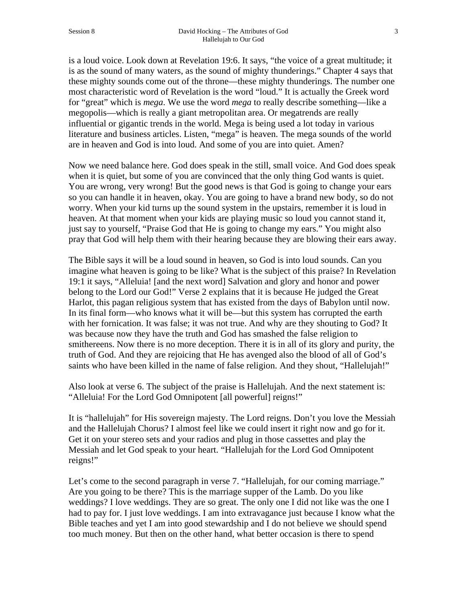is a loud voice. Look down at Revelation 19:6. It says, "the voice of a great multitude; it is as the sound of many waters, as the sound of mighty thunderings." Chapter 4 says that these mighty sounds come out of the throne—these mighty thunderings. The number one most characteristic word of Revelation is the word "loud." It is actually the Greek word for "great" which is *mega*. We use the word *mega* to really describe something—like a megopolis—which is really a giant metropolitan area. Or megatrends are really influential or gigantic trends in the world. Mega is being used a lot today in various literature and business articles. Listen, "mega" is heaven. The mega sounds of the world are in heaven and God is into loud. And some of you are into quiet. Amen?

Now we need balance here. God does speak in the still, small voice. And God does speak when it is quiet, but some of you are convinced that the only thing God wants is quiet. You are wrong, very wrong! But the good news is that God is going to change your ears so you can handle it in heaven, okay. You are going to have a brand new body, so do not worry. When your kid turns up the sound system in the upstairs, remember it is loud in heaven. At that moment when your kids are playing music so loud you cannot stand it, just say to yourself, "Praise God that He is going to change my ears." You might also pray that God will help them with their hearing because they are blowing their ears away.

The Bible says it will be a loud sound in heaven, so God is into loud sounds. Can you imagine what heaven is going to be like? What is the subject of this praise? In Revelation 19:1 it says, "Alleluia! [and the next word] Salvation and glory and honor and power belong to the Lord our God!" Verse 2 explains that it is because He judged the Great Harlot, this pagan religious system that has existed from the days of Babylon until now. In its final form—who knows what it will be—but this system has corrupted the earth with her fornication. It was false; it was not true. And why are they shouting to God? It was because now they have the truth and God has smashed the false religion to smithereens. Now there is no more deception. There it is in all of its glory and purity, the truth of God. And they are rejoicing that He has avenged also the blood of all of God's saints who have been killed in the name of false religion. And they shout, "Hallelujah!"

Also look at verse 6. The subject of the praise is Hallelujah. And the next statement is: "Alleluia! For the Lord God Omnipotent [all powerful] reigns!"

It is "hallelujah" for His sovereign majesty. The Lord reigns. Don't you love the Messiah and the Hallelujah Chorus? I almost feel like we could insert it right now and go for it. Get it on your stereo sets and your radios and plug in those cassettes and play the Messiah and let God speak to your heart. "Hallelujah for the Lord God Omnipotent reigns!"

Let's come to the second paragraph in verse 7. "Hallelujah, for our coming marriage." Are you going to be there? This is the marriage supper of the Lamb. Do you like weddings? I love weddings. They are so great. The only one I did not like was the one I had to pay for. I just love weddings. I am into extravagance just because I know what the Bible teaches and yet I am into good stewardship and I do not believe we should spend too much money. But then on the other hand, what better occasion is there to spend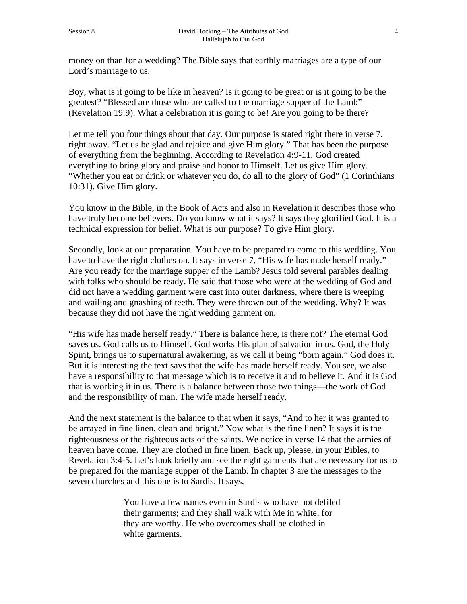money on than for a wedding? The Bible says that earthly marriages are a type of our Lord's marriage to us.

Boy, what is it going to be like in heaven? Is it going to be great or is it going to be the greatest? "Blessed are those who are called to the marriage supper of the Lamb" (Revelation 19:9). What a celebration it is going to be! Are you going to be there?

Let me tell you four things about that day. Our purpose is stated right there in verse 7, right away. "Let us be glad and rejoice and give Him glory." That has been the purpose of everything from the beginning. According to Revelation 4:9-11, God created everything to bring glory and praise and honor to Himself. Let us give Him glory. "Whether you eat or drink or whatever you do, do all to the glory of God" (1 Corinthians 10:31). Give Him glory.

You know in the Bible, in the Book of Acts and also in Revelation it describes those who have truly become believers. Do you know what it says? It says they glorified God. It is a technical expression for belief. What is our purpose? To give Him glory.

Secondly, look at our preparation. You have to be prepared to come to this wedding. You have to have the right clothes on. It says in verse 7, "His wife has made herself ready." Are you ready for the marriage supper of the Lamb? Jesus told several parables dealing with folks who should be ready. He said that those who were at the wedding of God and did not have a wedding garment were cast into outer darkness, where there is weeping and wailing and gnashing of teeth. They were thrown out of the wedding. Why? It was because they did not have the right wedding garment on.

"His wife has made herself ready." There is balance here, is there not? The eternal God saves us. God calls us to Himself. God works His plan of salvation in us. God, the Holy Spirit, brings us to supernatural awakening, as we call it being "born again." God does it. But it is interesting the text says that the wife has made herself ready. You see, we also have a responsibility to that message which is to receive it and to believe it. And it is God that is working it in us. There is a balance between those two things—the work of God and the responsibility of man. The wife made herself ready.

And the next statement is the balance to that when it says, "And to her it was granted to be arrayed in fine linen, clean and bright." Now what is the fine linen? It says it is the righteousness or the righteous acts of the saints. We notice in verse 14 that the armies of heaven have come. They are clothed in fine linen. Back up, please, in your Bibles, to Revelation 3:4-5. Let's look briefly and see the right garments that are necessary for us to be prepared for the marriage supper of the Lamb. In chapter 3 are the messages to the seven churches and this one is to Sardis. It says,

> You have a few names even in Sardis who have not defiled their garments; and they shall walk with Me in white, for they are worthy. He who overcomes shall be clothed in white garments.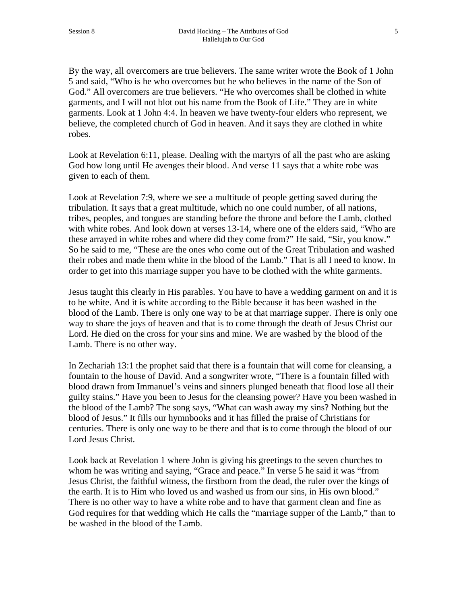By the way, all overcomers are true believers. The same writer wrote the Book of 1 John 5 and said, "Who is he who overcomes but he who believes in the name of the Son of God." All overcomers are true believers. "He who overcomes shall be clothed in white garments, and I will not blot out his name from the Book of Life." They are in white garments. Look at 1 John 4:4. In heaven we have twenty-four elders who represent, we believe, the completed church of God in heaven. And it says they are clothed in white robes.

Look at Revelation 6:11, please. Dealing with the martyrs of all the past who are asking God how long until He avenges their blood. And verse 11 says that a white robe was given to each of them.

Look at Revelation 7:9, where we see a multitude of people getting saved during the tribulation. It says that a great multitude, which no one could number, of all nations, tribes, peoples, and tongues are standing before the throne and before the Lamb, clothed with white robes. And look down at verses 13-14, where one of the elders said, "Who are these arrayed in white robes and where did they come from?" He said, "Sir, you know." So he said to me, "These are the ones who come out of the Great Tribulation and washed their robes and made them white in the blood of the Lamb." That is all I need to know. In order to get into this marriage supper you have to be clothed with the white garments.

Jesus taught this clearly in His parables. You have to have a wedding garment on and it is to be white. And it is white according to the Bible because it has been washed in the blood of the Lamb. There is only one way to be at that marriage supper. There is only one way to share the joys of heaven and that is to come through the death of Jesus Christ our Lord. He died on the cross for your sins and mine. We are washed by the blood of the Lamb. There is no other way.

In Zechariah 13:1 the prophet said that there is a fountain that will come for cleansing, a fountain to the house of David. And a songwriter wrote, "There is a fountain filled with blood drawn from Immanuel's veins and sinners plunged beneath that flood lose all their guilty stains." Have you been to Jesus for the cleansing power? Have you been washed in the blood of the Lamb? The song says, "What can wash away my sins? Nothing but the blood of Jesus." It fills our hymnbooks and it has filled the praise of Christians for centuries. There is only one way to be there and that is to come through the blood of our Lord Jesus Christ.

Look back at Revelation 1 where John is giving his greetings to the seven churches to whom he was writing and saying, "Grace and peace." In verse 5 he said it was "from Jesus Christ, the faithful witness, the firstborn from the dead, the ruler over the kings of the earth. It is to Him who loved us and washed us from our sins, in His own blood." There is no other way to have a white robe and to have that garment clean and fine as God requires for that wedding which He calls the "marriage supper of the Lamb," than to be washed in the blood of the Lamb.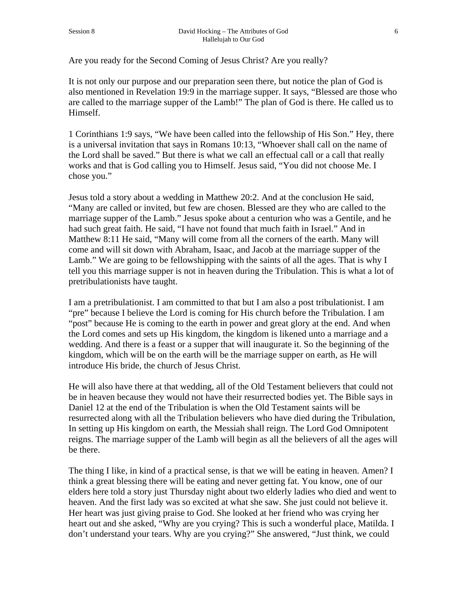Are you ready for the Second Coming of Jesus Christ? Are you really?

It is not only our purpose and our preparation seen there, but notice the plan of God is also mentioned in Revelation 19:9 in the marriage supper. It says, "Blessed are those who are called to the marriage supper of the Lamb!" The plan of God is there. He called us to Himself.

1 Corinthians 1:9 says, "We have been called into the fellowship of His Son." Hey, there is a universal invitation that says in Romans 10:13, "Whoever shall call on the name of the Lord shall be saved." But there is what we call an effectual call or a call that really works and that is God calling you to Himself. Jesus said, "You did not choose Me. I chose you."

Jesus told a story about a wedding in Matthew 20:2. And at the conclusion He said, "Many are called or invited, but few are chosen. Blessed are they who are called to the marriage supper of the Lamb." Jesus spoke about a centurion who was a Gentile, and he had such great faith. He said, "I have not found that much faith in Israel." And in Matthew 8:11 He said, "Many will come from all the corners of the earth. Many will come and will sit down with Abraham, Isaac, and Jacob at the marriage supper of the Lamb." We are going to be fellowshipping with the saints of all the ages. That is why I tell you this marriage supper is not in heaven during the Tribulation. This is what a lot of pretribulationists have taught.

I am a pretribulationist. I am committed to that but I am also a post tribulationist. I am "pre" because I believe the Lord is coming for His church before the Tribulation. I am "post" because He is coming to the earth in power and great glory at the end. And when the Lord comes and sets up His kingdom, the kingdom is likened unto a marriage and a wedding. And there is a feast or a supper that will inaugurate it. So the beginning of the kingdom, which will be on the earth will be the marriage supper on earth, as He will introduce His bride, the church of Jesus Christ.

He will also have there at that wedding, all of the Old Testament believers that could not be in heaven because they would not have their resurrected bodies yet. The Bible says in Daniel 12 at the end of the Tribulation is when the Old Testament saints will be resurrected along with all the Tribulation believers who have died during the Tribulation, In setting up His kingdom on earth, the Messiah shall reign. The Lord God Omnipotent reigns. The marriage supper of the Lamb will begin as all the believers of all the ages will be there.

The thing I like, in kind of a practical sense, is that we will be eating in heaven. Amen? I think a great blessing there will be eating and never getting fat. You know, one of our elders here told a story just Thursday night about two elderly ladies who died and went to heaven. And the first lady was so excited at what she saw. She just could not believe it. Her heart was just giving praise to God. She looked at her friend who was crying her heart out and she asked, "Why are you crying? This is such a wonderful place, Matilda. I don't understand your tears. Why are you crying?" She answered, "Just think, we could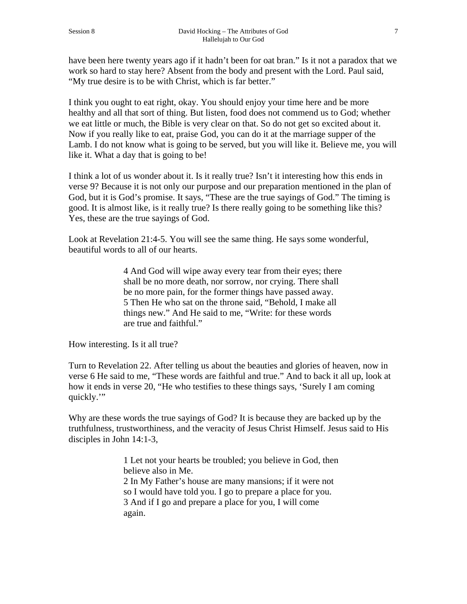have been here twenty years ago if it hadn't been for oat bran." Is it not a paradox that we work so hard to stay here? Absent from the body and present with the Lord. Paul said, "My true desire is to be with Christ, which is far better."

I think you ought to eat right, okay. You should enjoy your time here and be more healthy and all that sort of thing. But listen, food does not commend us to God; whether we eat little or much, the Bible is very clear on that. So do not get so excited about it. Now if you really like to eat, praise God, you can do it at the marriage supper of the Lamb. I do not know what is going to be served, but you will like it. Believe me, you will like it. What a day that is going to be!

I think a lot of us wonder about it. Is it really true? Isn't it interesting how this ends in verse 9? Because it is not only our purpose and our preparation mentioned in the plan of God, but it is God's promise. It says, "These are the true sayings of God." The timing is good. It is almost like, is it really true? Is there really going to be something like this? Yes, these are the true sayings of God.

Look at Revelation 21:4-5. You will see the same thing. He says some wonderful, beautiful words to all of our hearts.

> 4 And God will wipe away every tear from their eyes; there shall be no more death, nor sorrow, nor crying. There shall be no more pain, for the former things have passed away. 5 Then He who sat on the throne said, "Behold, I make all things new." And He said to me, "Write: for these words are true and faithful."

How interesting. Is it all true?

Turn to Revelation 22. After telling us about the beauties and glories of heaven, now in verse 6 He said to me, "These words are faithful and true." And to back it all up, look at how it ends in verse 20, "He who testifies to these things says, 'Surely I am coming quickly.'"

Why are these words the true sayings of God? It is because they are backed up by the truthfulness, trustworthiness, and the veracity of Jesus Christ Himself. Jesus said to His disciples in John 14:1-3,

> 1 Let not your hearts be troubled; you believe in God, then believe also in Me. 2 In My Father's house are many mansions; if it were not so I would have told you. I go to prepare a place for you. 3 And if I go and prepare a place for you, I will come again.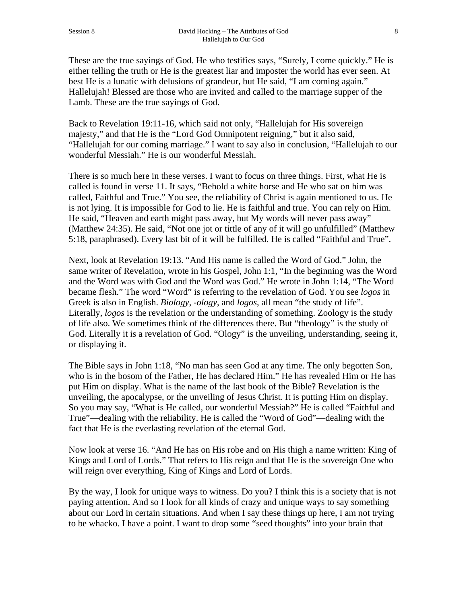These are the true sayings of God. He who testifies says, "Surely, I come quickly." He is either telling the truth or He is the greatest liar and imposter the world has ever seen. At best He is a lunatic with delusions of grandeur, but He said, "I am coming again." Hallelujah! Blessed are those who are invited and called to the marriage supper of the Lamb. These are the true sayings of God.

Back to Revelation 19:11-16, which said not only, "Hallelujah for His sovereign majesty," and that He is the "Lord God Omnipotent reigning," but it also said, "Hallelujah for our coming marriage." I want to say also in conclusion, "Hallelujah to our wonderful Messiah." He is our wonderful Messiah.

There is so much here in these verses. I want to focus on three things. First, what He is called is found in verse 11. It says, "Behold a white horse and He who sat on him was called, Faithful and True." You see, the reliability of Christ is again mentioned to us. He is not lying. It is impossible for God to lie. He is faithful and true. You can rely on Him. He said, "Heaven and earth might pass away, but My words will never pass away" (Matthew 24:35). He said, "Not one jot or tittle of any of it will go unfulfilled" (Matthew 5:18, paraphrased). Every last bit of it will be fulfilled. He is called "Faithful and True".

Next, look at Revelation 19:13. "And His name is called the Word of God." John, the same writer of Revelation, wrote in his Gospel, John 1:1, "In the beginning was the Word and the Word was with God and the Word was God." He wrote in John 1:14, "The Word became flesh." The word "Word" is referring to the revelation of God. You see *logos* in Greek is also in English. *Biology*, -*ology*, and *logos*, all mean "the study of life". Literally, *logos* is the revelation or the understanding of something. Zoology is the study of life also. We sometimes think of the differences there. But "theology" is the study of God. Literally it is a revelation of God. "Ology" is the unveiling, understanding, seeing it, or displaying it.

The Bible says in John 1:18, "No man has seen God at any time. The only begotten Son, who is in the bosom of the Father, He has declared Him." He has revealed Him or He has put Him on display. What is the name of the last book of the Bible? Revelation is the unveiling, the apocalypse, or the unveiling of Jesus Christ. It is putting Him on display. So you may say, "What is He called, our wonderful Messiah?" He is called "Faithful and True"—dealing with the reliability. He is called the "Word of God"—dealing with the fact that He is the everlasting revelation of the eternal God.

Now look at verse 16. "And He has on His robe and on His thigh a name written: King of Kings and Lord of Lords." That refers to His reign and that He is the sovereign One who will reign over everything, King of Kings and Lord of Lords.

By the way, I look for unique ways to witness. Do you? I think this is a society that is not paying attention. And so I look for all kinds of crazy and unique ways to say something about our Lord in certain situations. And when I say these things up here, I am not trying to be whacko. I have a point. I want to drop some "seed thoughts" into your brain that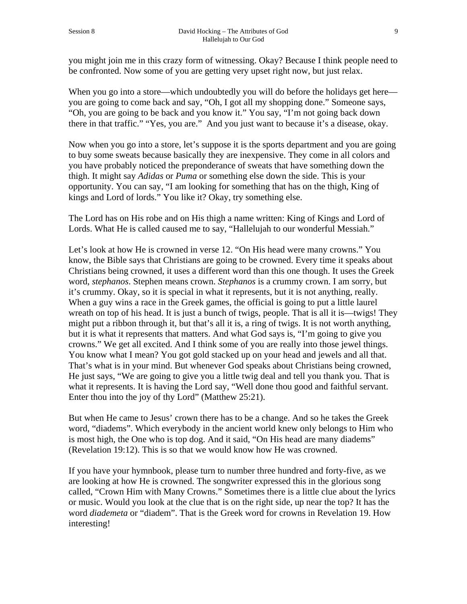you might join me in this crazy form of witnessing. Okay? Because I think people need to be confronted. Now some of you are getting very upset right now, but just relax.

When you go into a store—which undoubtedly you will do before the holidays get here you are going to come back and say, "Oh, I got all my shopping done." Someone says, "Oh, you are going to be back and you know it." You say, "I'm not going back down there in that traffic." "Yes, you are." And you just want to because it's a disease, okay.

Now when you go into a store, let's suppose it is the sports department and you are going to buy some sweats because basically they are inexpensive. They come in all colors and you have probably noticed the preponderance of sweats that have something down the thigh. It might say *Adidas* or *Puma* or something else down the side. This is your opportunity. You can say, "I am looking for something that has on the thigh, King of kings and Lord of lords." You like it? Okay, try something else.

The Lord has on His robe and on His thigh a name written: King of Kings and Lord of Lords. What He is called caused me to say, "Hallelujah to our wonderful Messiah."

Let's look at how He is crowned in verse 12. "On His head were many crowns." You know, the Bible says that Christians are going to be crowned. Every time it speaks about Christians being crowned, it uses a different word than this one though. It uses the Greek word, *stephanos*. Stephen means crown. *Stephanos* is a crummy crown. I am sorry, but it's crummy. Okay, so it is special in what it represents, but it is not anything, really. When a guy wins a race in the Greek games, the official is going to put a little laurel wreath on top of his head. It is just a bunch of twigs, people. That is all it is—twigs! They might put a ribbon through it, but that's all it is, a ring of twigs. It is not worth anything, but it is what it represents that matters. And what God says is, "I'm going to give you crowns." We get all excited. And I think some of you are really into those jewel things. You know what I mean? You got gold stacked up on your head and jewels and all that. That's what is in your mind. But whenever God speaks about Christians being crowned, He just says, "We are going to give you a little twig deal and tell you thank you. That is what it represents. It is having the Lord say, "Well done thou good and faithful servant. Enter thou into the joy of thy Lord" (Matthew 25:21).

But when He came to Jesus' crown there has to be a change. And so he takes the Greek word, "diadems". Which everybody in the ancient world knew only belongs to Him who is most high, the One who is top dog. And it said, "On His head are many diadems" (Revelation 19:12). This is so that we would know how He was crowned.

If you have your hymnbook, please turn to number three hundred and forty-five, as we are looking at how He is crowned. The songwriter expressed this in the glorious song called, "Crown Him with Many Crowns." Sometimes there is a little clue about the lyrics or music. Would you look at the clue that is on the right side, up near the top? It has the word *diademeta* or "diadem". That is the Greek word for crowns in Revelation 19. How interesting!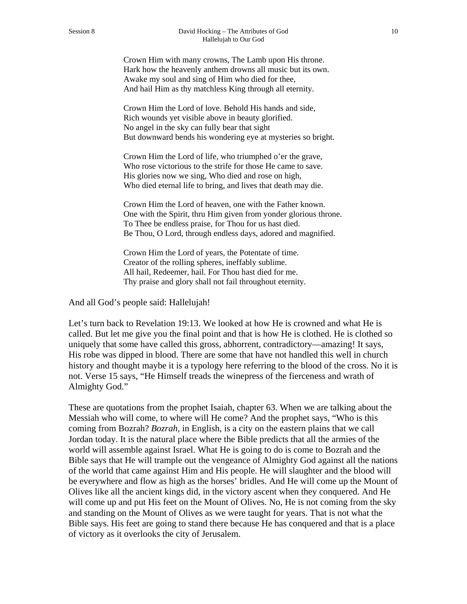Crown Him with many crowns, The Lamb upon His throne. Hark how the heavenly anthem drowns all music but its own. Awake my soul and sing of Him who died for thee, And hail Him as thy matchless King through all eternity.

Crown Him the Lord of love. Behold His hands and side, Rich wounds yet visible above in beauty glorified. No angel in the sky can fully bear that sight But downward bends his wondering eye at mysteries so bright.

Crown Him the Lord of life, who triumphed o'er the grave, Who rose victorious to the strife for those He came to save. His glories now we sing, Who died and rose on high, Who died eternal life to bring, and lives that death may die.

Crown Him the Lord of heaven, one with the Father known. One with the Spirit, thru Him given from yonder glorious throne. To Thee be endless praise, for Thou for us hast died. Be Thou, O Lord, through endless days, adored and magnified.

Crown Him the Lord of years, the Potentate of time. Creator of the rolling spheres, ineffably sublime. All hail, Redeemer, hail. For Thou hast died for me. Thy praise and glory shall not fail throughout eternity.

And all God's people said: Hallelujah!

Let's turn back to Revelation 19:13. We looked at how He is crowned and what He is called. But let me give you the final point and that is how He is clothed. He is clothed so uniquely that some have called this gross, abhorrent, contradictory—amazing! It says, His robe was dipped in blood. There are some that have not handled this well in church history and thought maybe it is a typology here referring to the blood of the cross. No it is not. Verse 15 says, "He Himself treads the winepress of the fierceness and wrath of Almighty God."

These are quotations from the prophet Isaiah, chapter 63. When we are talking about the Messiah who will come, to where will He come? And the prophet says, "Who is this coming from Bozrah? *Bozrah*, in English, is a city on the eastern plains that we call Jordan today. It is the natural place where the Bible predicts that all the armies of the world will assemble against Israel. What He is going to do is come to Bozrah and the Bible says that He will trample out the vengeance of Almighty God against all the nations of the world that came against Him and His people. He will slaughter and the blood will be everywhere and flow as high as the horses' bridles. And He will come up the Mount of Olives like all the ancient kings did, in the victory ascent when they conquered. And He will come up and put His feet on the Mount of Olives. No, He is not coming from the sky and standing on the Mount of Olives as we were taught for years. That is not what the Bible says. His feet are going to stand there because He has conquered and that is a place of victory as it overlooks the city of Jerusalem.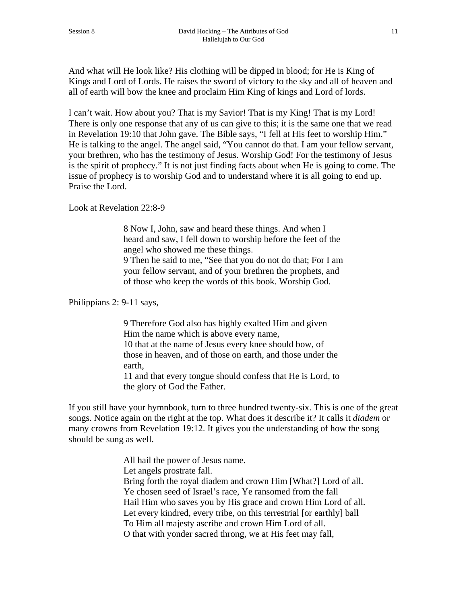And what will He look like? His clothing will be dipped in blood; for He is King of Kings and Lord of Lords. He raises the sword of victory to the sky and all of heaven and all of earth will bow the knee and proclaim Him King of kings and Lord of lords.

I can't wait. How about you? That is my Savior! That is my King! That is my Lord! There is only one response that any of us can give to this; it is the same one that we read in Revelation 19:10 that John gave. The Bible says, "I fell at His feet to worship Him." He is talking to the angel. The angel said, "You cannot do that. I am your fellow servant, your brethren, who has the testimony of Jesus. Worship God! For the testimony of Jesus is the spirit of prophecy." It is not just finding facts about when He is going to come. The issue of prophecy is to worship God and to understand where it is all going to end up. Praise the Lord.

Look at Revelation 22:8-9

8 Now I, John, saw and heard these things. And when I heard and saw, I fell down to worship before the feet of the angel who showed me these things. 9 Then he said to me, "See that you do not do that; For I am your fellow servant, and of your brethren the prophets, and of those who keep the words of this book. Worship God.

Philippians 2: 9-11 says,

9 Therefore God also has highly exalted Him and given Him the name which is above every name, 10 that at the name of Jesus every knee should bow, of those in heaven, and of those on earth, and those under the earth,

11 and that every tongue should confess that He is Lord, to the glory of God the Father.

If you still have your hymnbook, turn to three hundred twenty-six. This is one of the great songs. Notice again on the right at the top. What does it describe it? It calls it *diadem* or many crowns from Revelation 19:12. It gives you the understanding of how the song should be sung as well.

> All hail the power of Jesus name. Let angels prostrate fall. Bring forth the royal diadem and crown Him [What?] Lord of all. Ye chosen seed of Israel's race, Ye ransomed from the fall Hail Him who saves you by His grace and crown Him Lord of all. Let every kindred, every tribe, on this terrestrial [or earthly] ball To Him all majesty ascribe and crown Him Lord of all. O that with yonder sacred throng, we at His feet may fall,